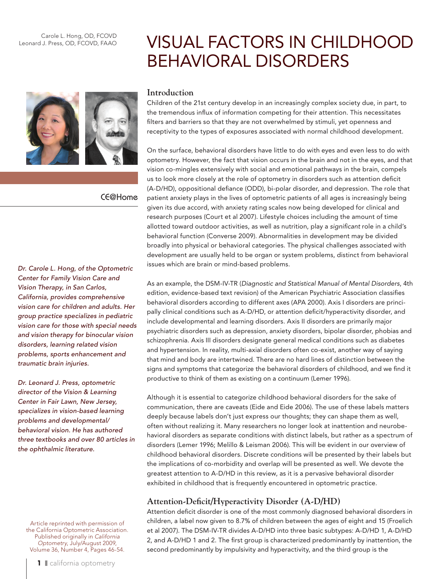Carole L. Hong, OD, FCOVD Leonard J. Press, OD, FCOVD, FAAO

# CE@Home

*Dr. Carole L. Hong, of the Optometric Center for Family Vision Care and Vision Therapy, in San Carlos, California, provides comprehensive vision care for children and adults. Her group practice specializes in pediatric vision care for those with special needs and vision therapy for binocular vision disorders, learning related vision problems, sports enhancement and traumatic brain injuries.* 

*Dr. Leonard J. Press, optometric director of the Vision & Learning Center in Fair Lawn, New Jersey, specializes in vision-based learning problems and developmental/ behavioral vision. He has authored three textbooks and over 80 articles in the ophthalmic literature.* 

Article reprinted with permission of the California Optometric Association. Published originally in *California Optometry*, July/August 2009, Volume 36, Number 4, Pages 46-54.

## **Introduction**

Children of the 21st century develop in an increasingly complex society due, in part, to the tremendous influx of information competing for their attention. This necessitates filters and barriers so that they are not overwhelmed by stimuli, yet openness and receptivity to the types of exposures associated with normal childhood development.

Visual Factors in Childhood

Behavioral Disorders

On the surface, behavioral disorders have little to do with eyes and even less to do with optometry. However, the fact that vision occurs in the brain and not in the eyes, and that vision co-mingles extensively with social and emotional pathways in the brain, compels us to look more closely at the role of optometry in disorders such as attention deficit (A-D/HD), oppositional defiance (ODD), bi-polar disorder, and depression. The role that patient anxiety plays in the lives of optometric patients of all ages is increasingly being given its due accord, with anxiety rating scales now being developed for clinical and research purposes (Court et al 2007). Lifestyle choices including the amount of time allotted toward outdoor activities, as well as nutrition, play a *significant* role in a child's behavioral function (Converse 2009). Abnormalities in development may be divided broadly into physical or behavioral categories. The physical challenges associated with development are usually held to be organ or system problems, distinct from behavioral issues which are brain or mind-based problems.

As an example, the DSM-IV-TR (*Diagnostic and Statistical Manual of Mental Disorders*, 4th edition, evidence-based text revision) of the American Psychiatric Association classifies behavioral disorders according to different axes (APA 2000). Axis I disorders are principally clinical conditions such as A-D/HD, or attention deficit/hyperactivity disorder, and include developmental and learning disorders. Axis II disorders are primarily major psychiatric disorders such as depression, anxiety disorders, bipolar disorder, phobias and schizophrenia. Axis III disorders designate general medical conditions such as diabetes and hypertension. In reality, multi-axial disorders often co-exist, another way of saying that mind and body are intertwined. There are no hard lines of distinction between the signs and symptoms that categorize the behavioral disorders of childhood, and we find it productive to think of them as existing on a continuum (Lemer 1996).

Although it is essential to categorize childhood behavioral disorders for the sake of communication, there are caveats (Eide and Eide 2006). The use of these labels matters deeply because labels don't just express our thoughts; they can shape them as well, often without realizing it. Many researchers no longer look at inattention and neurobehavioral disorders as separate conditions with distinct labels, but rather as a spectrum of disorders (Lemer 1996; Melillo & Leisman 2006). This will be evident in our overview of childhood behavioral disorders. Discrete conditions will be presented by their labels but the implications of co-morbidity and overlap will be presented as well. We devote the greatest attention to A-D/HD in this review, as it is a pervasive behavioral disorder exhibited in childhood that is frequently encountered in optometric practice.

# **Attention-Deficit/Hyperactivity Disorder (A-D/HD)**

Attention deficit disorder is one of the most commonly diagnosed behavioral disorders in children, a label now given to 8.7% of children between the ages of eight and 15 (Froelich et al 2007). The DSM-IV-TR divides A-D/HD into three basic subtypes: A-D/HD 1, A-D/HD 2, and A-D/HD 1 and 2. The first group is characterized predominantly by inattention, the second predominantly by impulsivity and hyperactivity, and the third group is the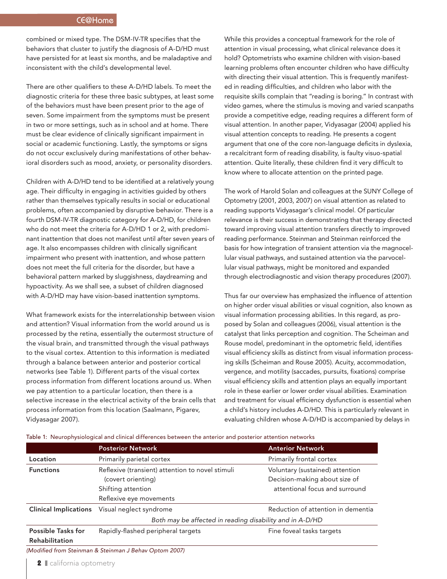# CE@Home

combined or mixed type. The DSM-IV-TR specifies that the behaviors that cluster to justify the diagnosis of A-D/HD must have persisted for at least six months, and be maladaptive and inconsistent with the child's developmental level.

There are other qualifiers to these A-D/HD labels. To meet the diagnostic criteria for these three basic subtypes, at least some of the behaviors must have been present prior to the age of seven. Some impairment from the symptoms must be present in two or more settings, such as in school and at home. There must be clear evidence of clinically significant impairment in social or academic functioning. Lastly, the symptoms or signs do not occur exclusively during manifestations of other behavioral disorders such as mood, anxiety, or personality disorders.

Children with A-D/HD tend to be identified at a relatively young age. Their difficulty in engaging in activities guided by others rather than themselves typically results in social or educational problems, often accompanied by disruptive behavior. There is a fourth DSM-IV-TR diagnostic category for A-D/HD, for children who do not meet the criteria for A-D/HD 1 or 2, with predominant inattention that does not manifest until after seven years of age. It also encompasses children with clinically significant impairment who present with inattention, and whose pattern does not meet the full criteria for the disorder, but have a behavioral pattern marked by sluggishness, daydreaming and hypoactivity. As we shall see, a subset of children diagnosed with A-D/HD may have vision-based inattention symptoms.

What framework exists for the interrelationship between vision and attention? Visual information from the world around us is processed by the retina, essentially the outermost structure of the visual brain, and transmitted through the visual pathways to the visual cortex. Attention to this information is mediated through a balance between anterior and posterior cortical networks (see Table 1). Different parts of the visual cortex process information from different locations around us. When we pay attention to a particular location, then there is a selective increase in the electrical activity of the brain cells that process information from this location (Saalmann, Pigarev, Vidyasagar 2007).

While this provides a conceptual framework for the role of attention in visual processing, what clinical relevance does it hold? Optometrists who examine children with vision-based learning problems often encounter children who have difficulty with directing their visual attention. This is frequently manifested in reading difficulties, and children who labor with the requisite skills complain that "reading is boring." In contrast with video games, where the stimulus is moving and varied scanpaths provide a competitive edge, reading requires a different form of visual attention. In another paper, Vidyasagar (2004) applied his visual attention concepts to reading. He presents a cogent argument that one of the core non-language deficits in dyslexia, a recalcitrant form of reading disability, is faulty visuo-spatial attention. Quite literally, these children find it very difficult to know where to allocate attention on the printed page.

The work of Harold Solan and colleagues at the SUNY College of Optometry (2001, 2003, 2007) on visual attention as related to reading supports Vidyasagar's clinical model. Of particular relevance is their success in demonstrating that therapy directed toward improving visual attention transfers directly to improved reading performance. Steinman and Steinman reinforced the basis for how integration of transient attention via the magnocellular visual pathways, and sustained attention via the parvocellular visual pathways, might be monitored and expanded through electrodiagnostic and vision therapy procedures (2007).

Thus far our overview has emphasized the influence of attention on higher order visual abilities or visual cognition, also known as visual information processing abilities. In this regard, as proposed by Solan and colleagues (2006), visual attention is the catalyst that links perception and cognition. The Scheiman and Rouse model, predominant in the optometric field, identifies visual efficiency skills as distinct from visual information processing skills (Scheiman and Rouse 2005). Acuity, accommodation, vergence, and motility (saccades, pursuits, fixations) comprise visual efficiency skills and attention plays an equally important role in these earlier or lower order visual abilities. Examination and treatment for visual efficiency dysfunction is essential when a child's history includes A-D/HD. This is particularly relevant in evaluating children whose A-D/HD is accompanied by delays in

Table 1: Neurophysiological and clinical differences between the anterior and posterior attention networks

|                                             | <b>Posterior Network</b>                                                                                                | <b>Anterior Network</b>                                                                            |  |
|---------------------------------------------|-------------------------------------------------------------------------------------------------------------------------|----------------------------------------------------------------------------------------------------|--|
| Location                                    | Primarily parietal cortex                                                                                               | Primarily frontal cortex                                                                           |  |
| <b>Functions</b>                            | Reflexive (transient) attention to novel stimuli<br>(covert orienting)<br>Shifting attention<br>Reflexive eye movements | Voluntary (sustained) attention<br>Decision-making about size of<br>attentional focus and surround |  |
| <b>Clinical Implications</b>                | Visual neglect syndrome                                                                                                 | Reduction of attention in dementia                                                                 |  |
|                                             | Both may be affected in reading disability and in A-D/HD                                                                |                                                                                                    |  |
| <b>Possible Tasks for</b><br>Rehabilitation | Rapidly-flashed peripheral targets                                                                                      | Fine foveal tasks targets                                                                          |  |

*(Modified from Steinman & Steinman J Behav Optom 2007)*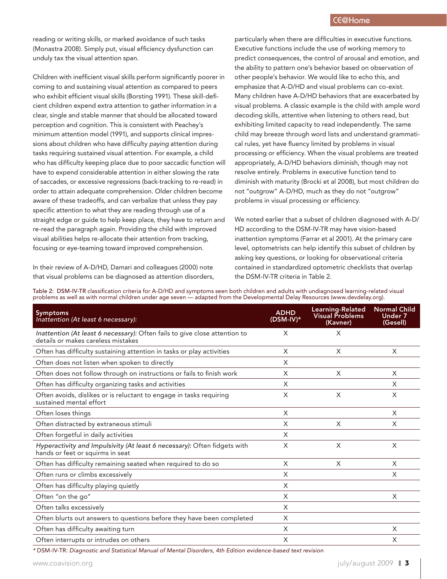reading or writing skills, or marked avoidance of such tasks (Monastra 2008). Simply put, visual efficiency dysfunction can unduly tax the visual attention span.

Children with inefficient visual skills perform significantly poorer in coming to and sustaining visual attention as compared to peers who exhibit efficient visual skills (Borsting 1991). These skill-deficient children expend extra attention to gather information in a clear, single and stable manner that should be allocated toward perception and cognition. This is consistent with Peachey's minimum attention model (1991), and supports clinical impressions about children who have difficulty *paying* attention during tasks requiring sustained visual attention. For example, a child who has difficulty keeping place due to poor saccadic function will have to expend considerable attention in either slowing the rate of saccades, or excessive regressions (back-tracking to re-read) in order to attain adequate comprehension. Older children become aware of these tradeoffs, and can verbalize that unless they pay specific attention to what they are reading through use of a straight edge or guide to help keep place, they have to return and re-read the paragraph again. Providing the child with improved visual abilities helps re-allocate their attention from tracking, focusing or eye-teaming toward improved comprehension.

In their review of A-D/HD, Damari and colleagues (2000) note that visual problems can be diagnosed as attention disorders, particularly when there are difficulties in executive functions. Executive functions include the use of working memory to predict consequences, the control of arousal and emotion, and the ability to pattern one's behavior based on observation of other people's behavior. We would like to echo this, and emphasize that A-D/HD and visual problems can co-exist. Many children have A-D/HD behaviors that are exacerbated by visual problems. A classic example is the child with ample word decoding skills, attentive when listening to others read, but exhibiting limited capacity to read independently. The same child may breeze through word lists and understand grammatical rules, yet have fluency limited by problems in visual processing or efficiency. When the visual problems are treated appropriately, A-D/HD behaviors diminish, though may not resolve entirely. Problems in executive function tend to diminish with maturity (Brocki et al 2008), but most children do not "outgrow" A-D/HD, much as they do not "outgrow" problems in visual processing or efficiency.

We noted earlier that a subset of children diagnosed with A-D/ HD according to the DSM-IV-TR may have vision-based inattention symptoms (Farrar et al 2001). At the primary care level, optometrists can help identify this subset of children by asking key questions, or looking for observational criteria contained in standardized optometric checklists that overlap the DSM-IV-TR criteria in Table 2.

Table 2: DSM-IV-TR classification criteria for A-D/HD and symptoms seen both children and adults with undiagnosed learning-related visual problems as well as with normal children under age seven — adapted from the Developmental Delay Resources (www.devdelay.org).

| <b>Symptoms</b><br>Inattention (At least 6 necessary):                                                           | <b>ADHD</b><br>$(DSM-IV)*$ | Learning-Related<br><b>Visual Problems</b><br>(Kavner) | <b>Normal Child</b><br><b>Under 7</b><br>(Gesell) |
|------------------------------------------------------------------------------------------------------------------|----------------------------|--------------------------------------------------------|---------------------------------------------------|
| Inattention (At least 6 necessary): Often fails to give close attention to<br>details or makes careless mistakes | X                          | X                                                      |                                                   |
| Often has difficulty sustaining attention in tasks or play activities                                            | X                          | X                                                      | X                                                 |
| Often does not listen when spoken to directly                                                                    | X                          |                                                        |                                                   |
| Often does not follow through on instructions or fails to finish work                                            | X                          | X                                                      | X                                                 |
| Often has difficulty organizing tasks and activities                                                             | X                          |                                                        | X                                                 |
| Often avoids, dislikes or is reluctant to engage in tasks requiring<br>sustained mental effort                   | X                          | X                                                      | X                                                 |
| Often loses things                                                                                               | X                          |                                                        | X                                                 |
| Often distracted by extraneous stimuli                                                                           | X                          | X                                                      | X                                                 |
| Often forgetful in daily activities                                                                              | X                          |                                                        |                                                   |
| Hyperactivity and Impulsivity (At least 6 necessary): Often fidgets with<br>hands or feet or squirms in seat     | X                          | X                                                      | X                                                 |
| Often has difficulty remaining seated when required to do so                                                     | X                          | X                                                      | X                                                 |
| Often runs or climbs excessively                                                                                 | X                          |                                                        | X                                                 |
| Often has difficulty playing quietly                                                                             | X                          |                                                        |                                                   |
| Often "on the go"                                                                                                | X                          |                                                        | X                                                 |
| Often talks excessively                                                                                          | X                          |                                                        |                                                   |
| Often blurts out answers to questions before they have been completed                                            | X                          |                                                        |                                                   |
| Often has difficulty awaiting turn                                                                               | X                          |                                                        | X                                                 |
| Often interrupts or intrudes on others                                                                           | X                          |                                                        | X                                                 |

*\** DSM-IV-TR: *Diagnostic and Statistical Manual of Mental Disorders, 4th Edition evidence-based text revision*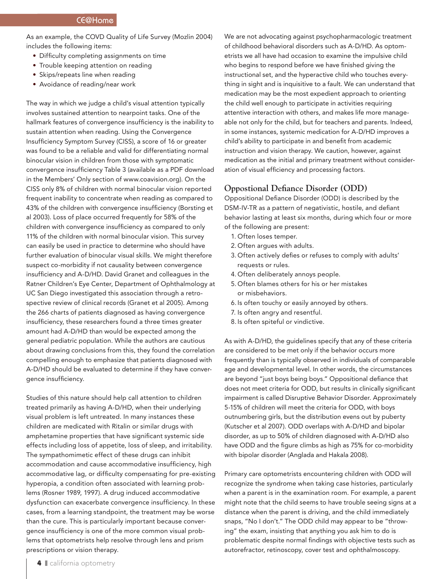As an example, the COVD Quality of Life Survey (Mozlin 2004) includes the following items:

- Difficulty completing assignments on time
- Trouble keeping attention on reading
- Skips/repeats line when reading
- Avoidance of reading/near work

The way in which we judge a child's visual attention typically involves sustained attention to nearpoint tasks. One of the hallmark features of convergence insufficiency is the inability to sustain attention when reading. Using the Convergence Insufficiency Symptom Survey (CISS), a score of 16 or greater was found to be a reliable and valid for differentiating normal binocular vision in children from those with symptomatic convergence insufficiency Table 3 (available as a PDF download in the Members' Only section of www.coavision.org). On the CISS only 8% of children with normal binocular vision reported frequent inability to concentrate when reading as compared to 43% of the children with convergence insufficiency (Borsting et al 2003). Loss of place occurred frequently for 58% of the children with convergence insufficiency as compared to only 11% of the children with normal binocular vision. This survey can easily be used in practice to determine who should have further evaluation of binocular visual skills. We might therefore suspect co-morbidity if not causality between convergence insufficiency and A-D/HD. David Granet and colleagues in the Ratner Children's Eye Center, Department of Ophthalmology at UC San Diego investigated this association through a retrospective review of clinical records (Granet et al 2005). Among the 266 charts of patients diagnosed as having convergence insufficiency, these researchers found a three times greater amount had A-D/HD than would be expected among the general pediatric population. While the authors are cautious about drawing conclusions from this, they found the correlation compelling enough to emphasize that patients diagnosed with A-D/HD should be evaluated to determine if they have convergence insufficiency.

Studies of this nature should help call attention to children treated primarily as having A-D/HD, when their underlying visual problem is left untreated. In many instances these children are medicated with Ritalin or similar drugs with amphetamine properties that have significant systemic side effects including loss of appetite, loss of sleep, and irritability. The sympathomimetic effect of these drugs can inhibit accommodation and cause accommodative insufficiency, high accommodative lag, or difficulty compensating for pre-existing hyperopia, a condition often associated with learning problems (Rosner 1989, 1997). A drug induced accommodative dysfunction can exacerbate convergence insufficiency. In these cases, from a learning standpoint, the treatment may be worse than the cure. This is particularly important because convergence insufficiency is one of the more common visual problems that optometrists help resolve through lens and prism prescriptions or vision therapy.

We are not advocating against psychopharmacologic treatment of childhood behavioral disorders such as A-D/HD. As optometrists we all have had occasion to examine the impulsive child who begins to respond before we have finished giving the instructional set, and the hyperactive child who touches everything in sight and is inquisitive to a fault. We can understand that medication may be the most expedient approach to orienting the child well enough to participate in activities requiring attentive interaction with others, and makes life more manageable not only for the child, but for teachers and parents. Indeed, in some instances, systemic medication for A-D/HD improves a child's ability to participate in and benefit from academic instruction and vision therapy. We caution, however, against medication as the initial and primary treatment without consideration of visual efficiency and processing factors.

## **Oppostional Defiance Disorder (ODD)**

Oppositional Defiance Disorder (ODD) is described by the DSM-IV-TR as a pattern of negativistic, hostile, and defiant behavior lasting at least six months, during which four or more of the following are present:

- 1. Often loses temper.
- 2. Often argues with adults.
- 3. Often actively defies or refuses to comply with adults' requests or rules.
- 4. Often deliberately annoys people.
- 5. Often blames others for his or her mistakes or misbehaviors.
- 6. Is often touchy or easily annoyed by others.
- 7. Is often angry and resentful.
- 8. Is often spiteful or vindictive.

As with A-D/HD, the guidelines specify that any of these criteria are considered to be met only if the behavior occurs more frequently than is typically observed in individuals of comparable age and developmental level. In other words, the circumstances are beyond "just boys being boys." Oppositional defiance that does not meet criteria for ODD, but results in clinically significant impairment is called Disruptive Behavior Disorder. Approximately 5-15% of children will meet the criteria for ODD, with boys outnumbering girls, but the distribution evens out by puberty (Kutscher et al 2007). ODD overlaps with A-D/HD and bipolar disorder, as up to 50% of children diagnosed with A-D/HD also have ODD and the figure climbs as high as 75% for co-morbidity with bipolar disorder (Anglada and Hakala 2008).

Primary care optometrists encountering children with ODD will recognize the syndrome when taking case histories, particularly when a parent is in the examination room. For example, a parent might note that the child seems to have trouble seeing signs at a distance when the parent is driving, and the child immediately snaps, "No I don't." The ODD child may appear to be "throwing" the exam, insisting that anything you ask him to do is problematic despite normal findings with objective tests such as autorefractor, retinoscopy, cover test and ophthalmoscopy.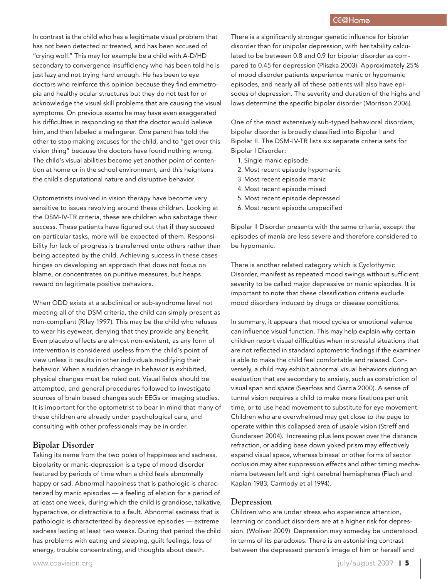# CE@Home

In contrast is the child who has a legitimate visual problem that has not been detected or treated, and has been accused of "crying wolf." This may for example be a child with A-D/HD secondary to convergence insufficiency who has been told he is just lazy and not trying hard enough. He has been to eye doctors who reinforce this opinion because they find emmetropia and healthy ocular structures but they do not test for or acknowledge the visual skill problems that are causing the visual symptoms. On previous exams he may have even exaggerated his difficulties in responding so that the doctor would believe him, and then labeled a malingerer. One parent has told the other to stop making excuses for the child, and to "get over this vision thing" because the doctors have found nothing wrong. The child's visual abilities become yet another point of contention at home or in the school environment, and this heightens the child's disputational nature and disruptive behavior.

Optometrists involved in vision therapy have become very sensitive to issues revolving around these children. Looking at the DSM-IV-TR criteria, these are children who sabotage their success. These patients have figured out that if they succeed on particular tasks, more will be expected of them. Responsibility for lack of progress is transferred onto others rather than being accepted by the child. Achieving success in these cases hinges on developing an approach that does not focus on blame, or concentrates on punitive measures, but heaps reward on legitimate positive behaviors.

When ODD exists at a subclinical or sub-syndrome level not meeting all of the DSM criteria, the child can simply present as non-compliant (Riley 1997). This may be the child who refuses to wear his eyewear, denying that they provide any benefit. Even placebo effects are almost non-existent, as any form of intervention is considered useless from the child's point of view unless it results in other individuals modifying their behavior. When a sudden change in behavior is exhibited, physical changes must be ruled out. Visual fields should be attempted, and general procedures followed to investigate sources of brain based changes such EEGs or imaging studies. It is important for the optometrist to bear in mind that many of these children are already under psychological care, and consulting with other professionals may be in order.

#### **Bipolar Disorder**

Taking its name from the two poles of happiness and sadness, bipolarity or manic-depression is a type of mood disorder featured by periods of time when a child feels abnormally happy or sad. Abnormal happiness that is pathologic is characterized by manic episodes — a feeling of elation for a period of at least one week, during which the child is grandiose, talkative, hyperactive, or distractible to a fault. Abnormal sadness that is pathologic is characterized by depressive episodes — extreme sadness lasting at least two weeks. During that period the child has problems with eating and sleeping, guilt feelings, loss of energy, trouble concentrating, and thoughts about death.

One of the most extensively sub-typed behavioral disorders, bipolar disorder is broadly classified into Bipolar I and Bipolar II. The DSM-IV-TR lists six separate criteria sets for Bipolar I Disorder:

- 1. Single manic episode
- 2. Most recent episode hypomanic
- 3. Most recent episode manic
- 4. Most recent episode mixed
- 5. Most recent episode depressed
- 6. Most recent episode unspecified

Bipolar II Disorder presents with the same criteria, except the episodes of mania are less severe and therefore considered to be hypomanic.

There is another related category which is Cyclothymic Disorder, manifest as repeated mood swings without sufficient severity to be called major depressive or manic episodes. It is important to note that these classification criteria exclude mood disorders induced by drugs or disease conditions.

In summary, it appears that mood cycles or emotional valence can influence visual function. This may help explain why certain children report visual difficulties when in stressful situations that are not reflected in standard optometric findings if the examiner is able to make the child feel comfortable and relaxed. Conversely, a child may exhibit abnormal visual behaviors during an evaluation that are secondary to anxiety, such as constriction of visual span and space (Searfoss and Garzia 2000). A sense of tunnel vision requires a child to make more fixations per unit time, or to use head movement to substitute for eye movement. Children who are overwhelmed may get close to the page to operate within this collapsed area of usable vision (Streff and Gundersen 2004). Increasing plus lens power over the distance refraction, or adding base down yoked prism may effectively expand visual space, whereas binasal or other forms of sector occlusion may alter suppression effects and other timing mechanisms between left and right cerebral hemispheres (Flach and Kaplan 1983; Carmody et al 1994).

## **Depression**

Children who are under stress who experience attention, learning or conduct disorders are at a higher risk for depression. (Woliver 2009) Depression may someday be understood in terms of its paradoxes. There is an astonishing contrast between the depressed person's image of him or herself and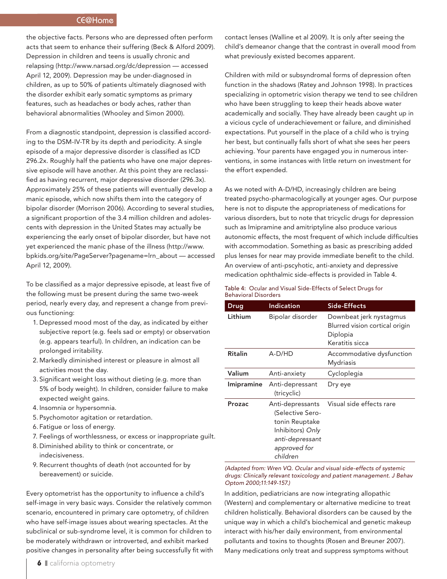# CE@Home

the objective facts. Persons who are depressed often perform acts that seem to enhance their suffering (Beck & Alford 2009). Depression in children and teens is usually chronic and relapsing (http://www.narsad.org/dc/depression — accessed April 12, 2009). Depression may be under-diagnosed in children, as up to 50% of patients ultimately diagnosed with the disorder exhibit early somatic symptoms as primary features, such as headaches or body aches, rather than behavioral abnormalities (Whooley and Simon 2000).

From a diagnostic standpoint, depression is classified according to the DSM-IV-TR by its depth and periodicity. A single episode of a major depressive disorder is classified as ICD 296.2x. Roughly half the patients who have one major depressive episode will have another. At this point they are reclassified as having recurrent, major depressive disorder (296.3x). Approximately 25% of these patients will eventually develop a manic episode, which now shifts them into the category of bipolar disorder (Morrison 2006). According to several studies, a significant proportion of the 3.4 million children and adolescents with depression in the United States may actually be experiencing the early onset of bipolar disorder, but have not yet experienced the manic phase of the illness (http://www. bpkids.org/site/PageServer?pagename=lrn\_about — accessed April 12, 2009).

To be classified as a major depressive episode, at least five of the following must be present during the same two-week period, nearly every day, and represent a change from previous functioning:

- 1. Depressed mood most of the day, as indicated by either subjective report (e.g. feels sad or empty) or observation (e.g. appears tearful). In children, an indication can be prolonged irritability.
- 2. Markedly diminished interest or pleasure in almost all activities most the day.
- 3. Significant weight loss without dieting (e.g. more than 5% of body weight). In children, consider failure to make expected weight gains.
- 4. Insomnia or hypersomnia.
- 5. Psychomotor agitation or retardation.
- 6. Fatigue or loss of energy.
- 7. Feelings of worthlessness, or excess or inappropriate guilt.
- 8. Diminished ability to think or concentrate, or indecisiveness.
- 9. Recurrent thoughts of death (not accounted for by bereavement) or suicide.

Every optometrist has the opportunity to influence a child's self-image in very basic ways. Consider the relatively common scenario, encountered in primary care optometry, of children who have self-image issues about wearing spectacles. At the subclinical or sub-syndrome level, it is common for children to be moderately withdrawn or introverted, and exhibit marked positive changes in personality after being successfully fit with contact lenses (Walline et al 2009). It is only after seeing the child's demeanor change that the contrast in overall mood from what previously existed becomes apparent.

Children with mild or subsyndromal forms of depression often function in the shadows (Ratey and Johnson 1998). In practices specializing in optometric vision therapy we tend to see children who have been struggling to keep their heads above water academically and socially. They have already been caught up in a vicious cycle of underachievement or failure, and diminished expectations. Put yourself in the place of a child who is trying her best, but continually falls short of what she sees her peers achieving. Your parents have engaged you in numerous interventions, in some instances with little return on investment for the effort expended.

As we noted with A-D/HD, increasingly children are being treated psycho-pharmacologically at younger ages. Our purpose here is not to dispute the appropriateness of medications for various disorders, but to note that tricyclic drugs for depression such as Imipramine and amitriptyline also produce various autonomic effects, the most frequent of which include difficulties with accommodation. Something as basic as prescribing added plus lenses for near may provide immediate benefit to the child. An overview of anti-pscyhotic, anti-anxiety and depressive medication ophthalmic side-effects is provided in Table 4.

#### Table 4: Ocular and Visual Side-Effects of Select Drugs for Behavioral Disorders

| Drug              | <b>Indication</b>                                                                                                         | Side-Effects                                                                             |
|-------------------|---------------------------------------------------------------------------------------------------------------------------|------------------------------------------------------------------------------------------|
| Lithium           | Bipolar disorder                                                                                                          | Downbeat jerk nystagmus<br>Blurred vision cortical origin<br>Diplopia<br>Keratitis sicca |
| <b>Ritalin</b>    | A-D/HD                                                                                                                    | Accommodative dysfunction<br>Mydriasis                                                   |
| Valium            | Anti-anxiety                                                                                                              | Cycloplegia                                                                              |
| <b>Imipramine</b> | Anti-depressant<br>(tricyclic)                                                                                            | Dry eye                                                                                  |
| Prozac            | Anti-depressants<br>(Selective Sero-<br>tonin Reuptake<br>Inhibitors) Only<br>anti-depressant<br>approved for<br>children | Visual side effects rare                                                                 |

*(Adapted from: Wren VQ. Ocular and visual side-effects of systemic drugs: Clinically relevant toxicology and patient management. J Behav Optom 2000;11:149-157.)*

In addition, pediatricians are now integrating allopathic (Western) and complementary or alternative medicine to treat children holistically. Behavioral disorders can be caused by the unique way in which a child's biochemical and genetic makeup interact with his/her daily environment, from environmental pollutants and toxins to thoughts (Rosen and Breuner 2007). Many medications only treat and suppress symptoms without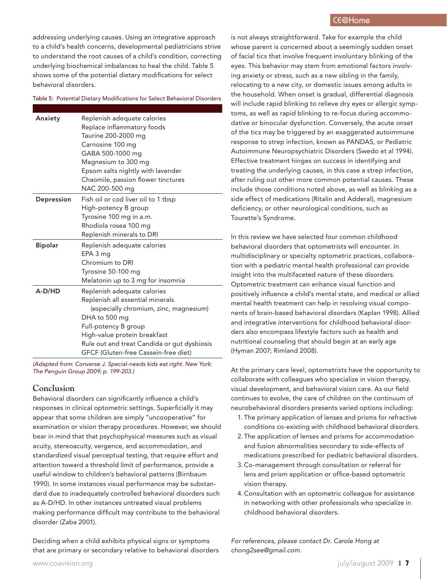addressing underlying causes. Using an integrative approach to a child's health concerns, developmental pediatricians strive to understand the root causes of a child's condition, correcting underlying biochemical imbalances to heal the child. Table 5 shows some of the potential dietary modifications for select behavioral disorders.

#### Table 5: Potential Dietary Modifications for Select Behavioral Disorders

| Anxiety        | Replenish adequate calories<br>Replace inflammatory foods<br>Taurine 200-2000 mg |
|----------------|----------------------------------------------------------------------------------|
|                | Carnosine 100 mg                                                                 |
|                | GABA 500-1000 mg                                                                 |
|                | Magnesium to 300 mg                                                              |
|                | Epsom salts nightly with lavender                                                |
|                | Chaomile, passion flower tinctures                                               |
|                | NAC 200-500 mg                                                                   |
| Depression     | Fish oil or cod liver oil to 1 tbsp                                              |
|                | High-potency B group                                                             |
|                | Tyrosine 100 mg in a.m.                                                          |
|                | Rhodiola rosea 100 mg                                                            |
|                | Replenish minerals to DRI                                                        |
| <b>Bipolar</b> | Replenish adequate calories                                                      |
|                | EPA 3 mg                                                                         |
|                | Chromium to DRI                                                                  |
|                | Tyrosine 50-100 mg                                                               |
|                | Melatonin up to 3 mg for insomnia                                                |
| A-D/HD         | Replenish adequate calories                                                      |
|                | Replenish all essential minerals                                                 |
|                | (especially chromium, zinc, magnesium)                                           |
|                | DHA to 500 mg                                                                    |
|                | Full-potency B group                                                             |
|                | High-value protein breakfast                                                     |
|                | Rule out and treat Candida or gut dysbiosis                                      |
|                | GFCF (Gluten-free Cassein-free diet)                                             |

*(Adapted from: Converse J. Special-needs kids eat right. New York: The Penguin Group 2009; p. 199-203.)*

#### **Conclusion**

Behavioral disorders can significantly influence a child's responses in clinical optometric settings. Superficially it may appear that some children are simply "uncooperative" for examination or vision therapy procedures. However, we should bear in mind that that psychophysical measures such as visual acuity, stereoacuity, vergence, and accommodation, and standardized visual perceptual testing, that require effort and attention toward a threshold limit of performance, provide a useful window to children's behavioral patterns (Birnbaum 1990). In some instances visual performance may be substandard due to inadequately controlled behavioral disorders such as A-D/HD. In other instances untreated visual problems making performance difficult may contribute to the behavioral disorder (Zaba 2001).

Deciding when a child exhibits physical signs or symptoms that are primary or secondary relative to behavioral disorders is not always straightforward. Take for example the child whose parent is concerned about a seemingly sudden onset of facial tics that involve frequent involuntary blinking of the eyes. This behavior may stem from emotional factors involving anxiety or stress, such as a new sibling in the family, relocating to a new city, or domestic issues among adults in the household. When onset is gradual, differential diagnosis will include rapid blinking to relieve dry eyes or allergic symptoms, as well as rapid blinking to re-focus during accommodative or binocular dysfunction. Conversely, the acute onset of the tics may be triggered by an exaggerated autoimmune response to strep infection, known as PANDAS, or Pediatric Autoimmune Neuropsychiatric Disorders (Swedo et al 1994). Effective treatment hinges on success in identifying and treating the underlying causes, in this case a strep infection, after ruling out other more common potential causes. These include those conditions noted above, as well as blinking as a side effect of medications (Ritalin and Adderal), magnesium deficiency, or other neurological conditions, such as Tourette's Syndrome.

In this review we have selected four common childhood behavioral disorders that optometrists will encounter. In multidisciplinary or specialty optometric practices, collaboration with a pediatric mental health professional can provide insight into the multifaceted nature of these disorders. Optometric treatment can enhance visual function and positively influence a child's mental state, and medical or allied mental health treatment can help in resolving visual components of brain-based behavioral disorders (Kaplan 1998). Allied and integrative interventions for childhood behavioral disorders also encompass lifestyle factors such as health and nutritional counseling that should begin at an early age (Hyman 2007; Rimland 2008).

At the primary care level, optometrists have the opportunity to collaborate with colleagues who specialize in vision therapy, visual development, and behavioral vision care. As our field continues to evolve, the care of children on the continuum of neurobehavioral disorders presents varied options including:

- 1. The primary application of lenses and prisms for refractive conditions co-existing with childhood behavioral disorders.
- 2. The application of lenses and prisms for accommodation and fusion abnormalities secondary to side-effects of medications prescribed for pediatric behavioral disorders.
- 3. Co-management through consultation or referral for lens and prism application or office-based optometric vision therapy.
- 4. Consultation with an optometric colleague for assistance in networking with other professionals who specialize in childhood behavioral disorders.

*For references, please contact Dr. Carole Hong at chong2see@gmail.com.*